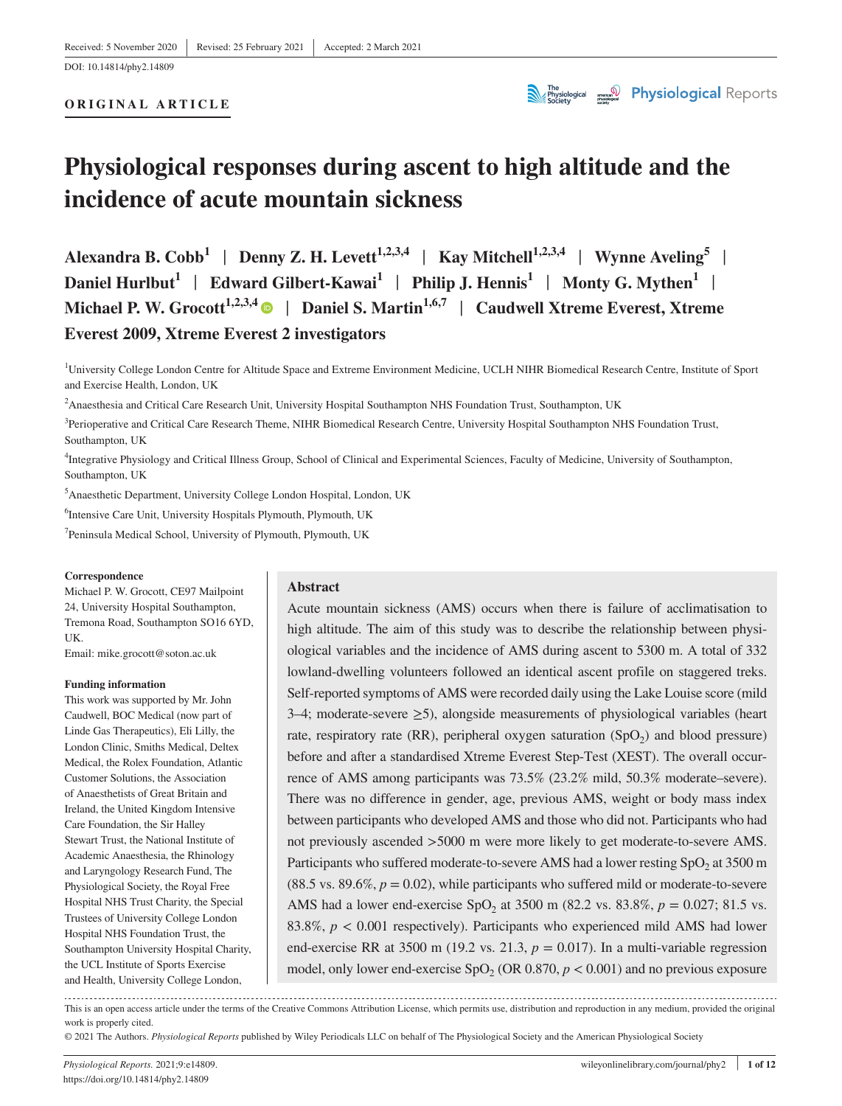DOI: 10.14814/phy2.14809

#### **ORIGINAL ARTICLE**



# **Physiological responses during ascent to high altitude and the incidence of acute mountain sickness**

**Alexandra B. Cobb**<sup>1</sup> | Denny Z. H. Levett<sup>1,2,3,4</sup> | Kay Mitchell<sup>1,2,3,4</sup> | Wynne Aveling<sup>5</sup> | **Daniel Hurlbut<sup>1</sup> | Edward Gilbert-Kawai<sup>1</sup> | Philip J. Hennis<sup>1</sup> | Monty G. Mythen<sup>1</sup> | Michael P. W. Grocott1,2,3,4** | **Daniel S. Martin1,6,7** | **Caudwell Xtreme Everest, Xtreme Everest 2009, Xtreme Everest 2 investigators**

<sup>1</sup>University College London Centre for Altitude Space and Extreme Environment Medicine, UCLH NIHR Biomedical Research Centre, Institute of Sport and Exercise Health, London, UK

2 Anaesthesia and Critical Care Research Unit, University Hospital Southampton NHS Foundation Trust, Southampton, UK

<sup>3</sup>Perioperative and Critical Care Research Theme, NIHR Biomedical Research Centre, University Hospital Southampton NHS Foundation Trust, Southampton, UK

4 Integrative Physiology and Critical Illness Group, School of Clinical and Experimental Sciences, Faculty of Medicine, University of Southampton, Southampton, UK

5 Anaesthetic Department, University College London Hospital, London, UK

6 Intensive Care Unit, University Hospitals Plymouth, Plymouth, UK

7 Peninsula Medical School, University of Plymouth, Plymouth, UK

#### **Correspondence**

Michael P. W. Grocott, CE97 Mailpoint 24, University Hospital Southampton, Tremona Road, Southampton SO16 6YD, UK.

Email: [mike.grocott@soton.ac.uk](mailto:mike.grocott@soton.ac.uk)

#### **Funding information**

This work was supported by Mr. John Caudwell, BOC Medical (now part of Linde Gas Therapeutics), Eli Lilly, the London Clinic, Smiths Medical, Deltex Medical, the Rolex Foundation, Atlantic Customer Solutions, the Association of Anaesthetists of Great Britain and Ireland, the United Kingdom Intensive Care Foundation, the Sir Halley Stewart Trust, the National Institute of Academic Anaesthesia, the Rhinology and Laryngology Research Fund, The Physiological Society, the Royal Free Hospital NHS Trust Charity, the Special Trustees of University College London Hospital NHS Foundation Trust, the Southampton University Hospital Charity, the UCL Institute of Sports Exercise and Health, University College London,

#### **Abstract**

Acute mountain sickness (AMS) occurs when there is failure of acclimatisation to high altitude. The aim of this study was to describe the relationship between physiological variables and the incidence of AMS during ascent to 5300 m. A total of 332 lowland-dwelling volunteers followed an identical ascent profile on staggered treks. Self-reported symptoms of AMS were recorded daily using the Lake Louise score (mild 3–4; moderate-severe ≥5), alongside measurements of physiological variables (heart rate, respiratory rate (RR), peripheral oxygen saturation (SpO<sub>2</sub>) and blood pressure) before and after a standardised Xtreme Everest Step-Test (XEST). The overall occurrence of AMS among participants was 73.5% (23.2% mild, 50.3% moderate–severe). There was no difference in gender, age, previous AMS, weight or body mass index between participants who developed AMS and those who did not. Participants who had not previously ascended >5000 m were more likely to get moderate-to-severe AMS. Participants who suffered moderate-to-severe AMS had a lower resting  $SpO<sub>2</sub>$  at 3500 m (88.5 vs. 89.6%,  $p = 0.02$ ), while participants who suffered mild or moderate-to-severe AMS had a lower end-exercise SpO<sub>2</sub> at 3500 m (82.2 vs. 83.8%,  $p = 0.027$ ; 81.5 vs. 83.8%, *p* < 0.001 respectively). Participants who experienced mild AMS had lower end-exercise RR at 3500 m (19.2 vs. 21.3,  $p = 0.017$ ). In a multi-variable regression model, only lower end-exercise  $SpO<sub>2</sub>$  (OR 0.870,  $p < 0.001$ ) and no previous exposure

This is an open access article under the terms of the [Creative Commons Attribution](http://creativecommons.org/licenses/by/4.0/) License, which permits use, distribution and reproduction in any medium, provided the original work is properly cited.

© 2021 The Authors. *Physiological Reports* published by Wiley Periodicals LLC on behalf of The Physiological Society and the American Physiological Society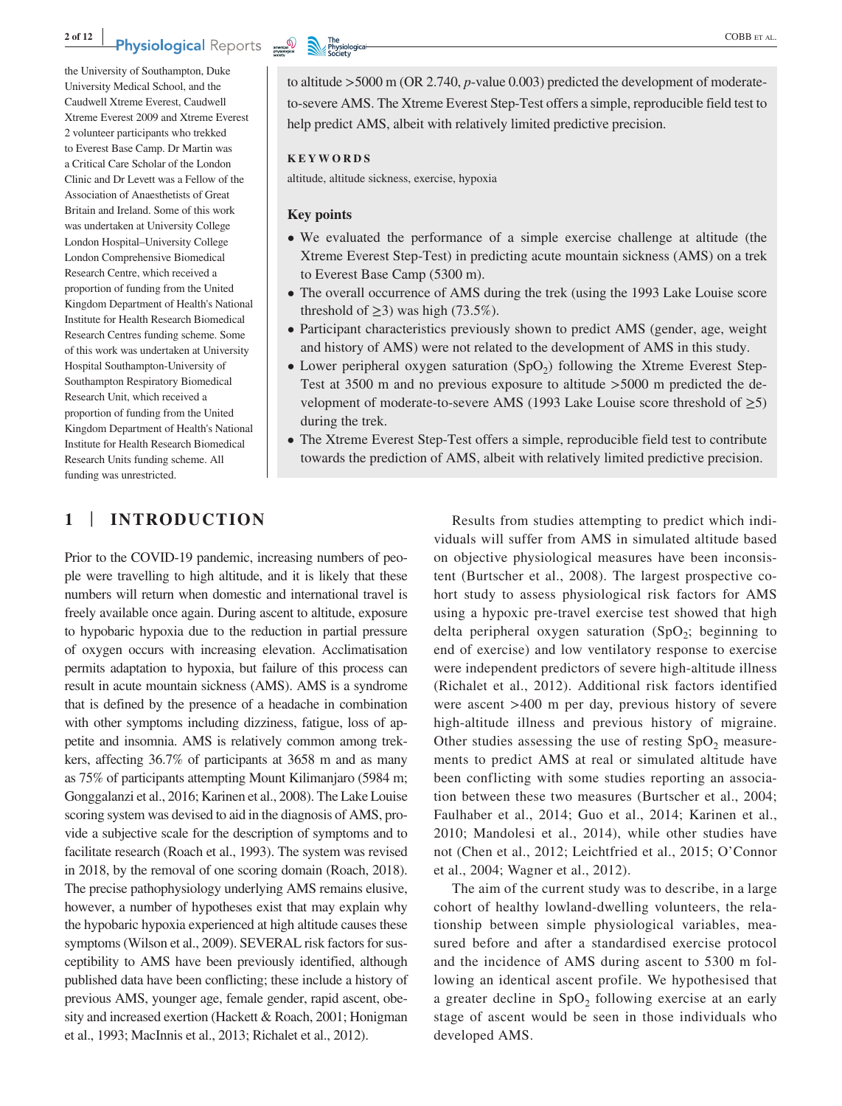the University of Southampton, Duke University Medical School, and the Caudwell Xtreme Everest, Caudwell Xtreme Everest 2009 and Xtreme Everest 2 volunteer participants who trekked to Everest Base Camp. Dr Martin was a Critical Care Scholar of the London Clinic and Dr Levett was a Fellow of the Association of Anaesthetists of Great Britain and Ireland. Some of this work was undertaken at University College London Hospital–University College London Comprehensive Biomedical Research Centre, which received a proportion of funding from the United Kingdom Department of Health's National Institute for Health Research Biomedical Research Centres funding scheme. Some of this work was undertaken at University Hospital Southampton-University of Southampton Respiratory Biomedical Research Unit, which received a proportion of funding from the United Kingdom Department of Health's National Institute for Health Research Biomedical Research Units funding scheme. All funding was unrestricted.

to altitude >5000 m (OR 2.740, *p*-value 0.003) predicted the development of moderateto-severe AMS. The Xtreme Everest Step-Test offers a simple, reproducible field test to help predict AMS, albeit with relatively limited predictive precision.

### **KEYWORDS**

altitude, altitude sickness, exercise, hypoxia

### **Key points**

- We evaluated the performance of a simple exercise challenge at altitude (the Xtreme Everest Step-Test) in predicting acute mountain sickness (AMS) on a trek to Everest Base Camp (5300 m).
- The overall occurrence of AMS during the trek (using the 1993 Lake Louise score threshold of  $\geq$ 3) was high (73.5%).
- Participant characteristics previously shown to predict AMS (gender, age, weight and history of AMS) were not related to the development of AMS in this study.
- Lower peripheral oxygen saturation  $(SpO<sub>2</sub>)$  following the Xtreme Everest Step-Test at 3500 m and no previous exposure to altitude >5000 m predicted the development of moderate-to-severe AMS (1993 Lake Louise score threshold of  $\geq 5$ ) during the trek.
- The Xtreme Everest Step-Test offers a simple, reproducible field test to contribute towards the prediction of AMS, albeit with relatively limited predictive precision.

# **1** | **INTRODUCTION**

Prior to the COVID-19 pandemic, increasing numbers of people were travelling to high altitude, and it is likely that these numbers will return when domestic and international travel is freely available once again. During ascent to altitude, exposure to hypobaric hypoxia due to the reduction in partial pressure of oxygen occurs with increasing elevation. Acclimatisation permits adaptation to hypoxia, but failure of this process can result in acute mountain sickness (AMS). AMS is a syndrome that is defined by the presence of a headache in combination with other symptoms including dizziness, fatigue, loss of appetite and insomnia. AMS is relatively common among trekkers, affecting 36.7% of participants at 3658 m and as many as 75% of participants attempting Mount Kilimanjaro (5984 m; Gonggalanzi et al., 2016; Karinen et al., 2008). The Lake Louise scoring system was devised to aid in the diagnosis of AMS, provide a subjective scale for the description of symptoms and to facilitate research (Roach et al., 1993). The system was revised in 2018, by the removal of one scoring domain (Roach, 2018). The precise pathophysiology underlying AMS remains elusive, however, a number of hypotheses exist that may explain why the hypobaric hypoxia experienced at high altitude causes these symptoms (Wilson et al., 2009). SEVERAL risk factors for susceptibility to AMS have been previously identified, although published data have been conflicting; these include a history of previous AMS, younger age, female gender, rapid ascent, obesity and increased exertion (Hackett & Roach, 2001; Honigman et al., 1993; MacInnis et al., 2013; Richalet et al., 2012).

Results from studies attempting to predict which individuals will suffer from AMS in simulated altitude based on objective physiological measures have been inconsistent (Burtscher et al., 2008). The largest prospective cohort study to assess physiological risk factors for AMS using a hypoxic pre-travel exercise test showed that high delta peripheral oxygen saturation  $(SpO<sub>2</sub>;$  beginning to end of exercise) and low ventilatory response to exercise were independent predictors of severe high-altitude illness (Richalet et al., 2012). Additional risk factors identified were ascent >400 m per day, previous history of severe high-altitude illness and previous history of migraine. Other studies assessing the use of resting  $SpO<sub>2</sub>$  measurements to predict AMS at real or simulated altitude have been conflicting with some studies reporting an association between these two measures (Burtscher et al., 2004; Faulhaber et al., 2014; Guo et al., 2014; Karinen et al., 2010; Mandolesi et al., 2014), while other studies have not (Chen et al., 2012; Leichtfried et al., 2015; O'Connor et al., 2004; Wagner et al., 2012).

The aim of the current study was to describe, in a large cohort of healthy lowland-dwelling volunteers, the relationship between simple physiological variables, measured before and after a standardised exercise protocol and the incidence of AMS during ascent to 5300 m following an identical ascent profile. We hypothesised that a greater decline in  $SpO<sub>2</sub>$  following exercise at an early stage of ascent would be seen in those individuals who developed AMS.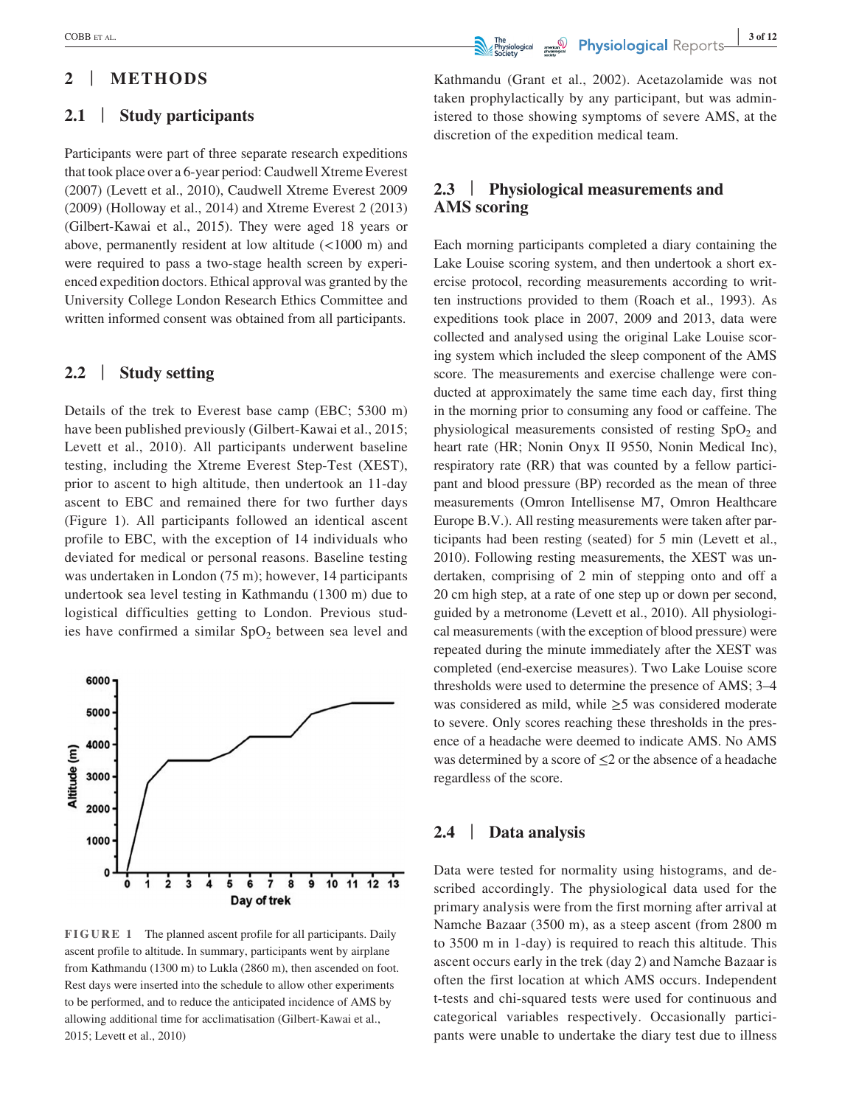# **2** | **METHODS**

# **2.1** | **Study participants**

Participants were part of three separate research expeditions that took place over a 6-year period: Caudwell Xtreme Everest (2007) (Levett et al., 2010), Caudwell Xtreme Everest 2009 (2009) (Holloway et al., 2014) and Xtreme Everest 2 (2013) (Gilbert-Kawai et al., 2015). They were aged 18 years or above, permanently resident at low altitude (<1000 m) and were required to pass a two-stage health screen by experienced expedition doctors. Ethical approval was granted by the University College London Research Ethics Committee and written informed consent was obtained from all participants.

# **2.2** | **Study setting**

Details of the trek to Everest base camp (EBC; 5300 m) have been published previously (Gilbert-Kawai et al., 2015; Levett et al., 2010). All participants underwent baseline testing, including the Xtreme Everest Step-Test (XEST), prior to ascent to high altitude, then undertook an 11-day ascent to EBC and remained there for two further days (Figure 1). All participants followed an identical ascent profile to EBC, with the exception of 14 individuals who deviated for medical or personal reasons. Baseline testing was undertaken in London (75 m); however, 14 participants undertook sea level testing in Kathmandu (1300 m) due to logistical difficulties getting to London. Previous studies have confirmed a similar  $SpO<sub>2</sub>$  between sea level and



**FIGURE 1** The planned ascent profile for all participants. Daily ascent profile to altitude. In summary, participants went by airplane from Kathmandu (1300 m) to Lukla (2860 m), then ascended on foot. Rest days were inserted into the schedule to allow other experiments to be performed, and to reduce the anticipated incidence of AMS by allowing additional time for acclimatisation (Gilbert-Kawai et al., 2015; Levett et al., 2010)

# **EXECOBB** ET AL. **3 of 12**<br>**Supplied COBB** ET AL. **3 of 12**

Kathmandu (Grant et al., 2002). Acetazolamide was not taken prophylactically by any participant, but was administered to those showing symptoms of severe AMS, at the discretion of the expedition medical team.

# **2.3** | **Physiological measurements and AMS scoring**

Each morning participants completed a diary containing the Lake Louise scoring system, and then undertook a short exercise protocol, recording measurements according to written instructions provided to them (Roach et al., 1993). As expeditions took place in 2007, 2009 and 2013, data were collected and analysed using the original Lake Louise scoring system which included the sleep component of the AMS score. The measurements and exercise challenge were conducted at approximately the same time each day, first thing in the morning prior to consuming any food or caffeine. The physiological measurements consisted of resting  $SpO<sub>2</sub>$  and heart rate (HR; Nonin Onyx II 9550, Nonin Medical Inc), respiratory rate (RR) that was counted by a fellow participant and blood pressure (BP) recorded as the mean of three measurements (Omron Intellisense M7, Omron Healthcare Europe B.V.). All resting measurements were taken after participants had been resting (seated) for 5 min (Levett et al., 2010). Following resting measurements, the XEST was undertaken, comprising of 2 min of stepping onto and off a 20 cm high step, at a rate of one step up or down per second, guided by a metronome (Levett et al., 2010). All physiological measurements (with the exception of blood pressure) were repeated during the minute immediately after the XEST was completed (end-exercise measures). Two Lake Louise score thresholds were used to determine the presence of AMS; 3–4 was considered as mild, while ≥5 was considered moderate to severe. Only scores reaching these thresholds in the presence of a headache were deemed to indicate AMS. No AMS was determined by a score of  $\leq$ 2 or the absence of a headache regardless of the score.

# **2.4** | **Data analysis**

Data were tested for normality using histograms, and described accordingly. The physiological data used for the primary analysis were from the first morning after arrival at Namche Bazaar (3500 m), as a steep ascent (from 2800 m to 3500 m in 1-day) is required to reach this altitude. This ascent occurs early in the trek (day 2) and Namche Bazaar is often the first location at which AMS occurs. Independent t-tests and chi-squared tests were used for continuous and categorical variables respectively. Occasionally participants were unable to undertake the diary test due to illness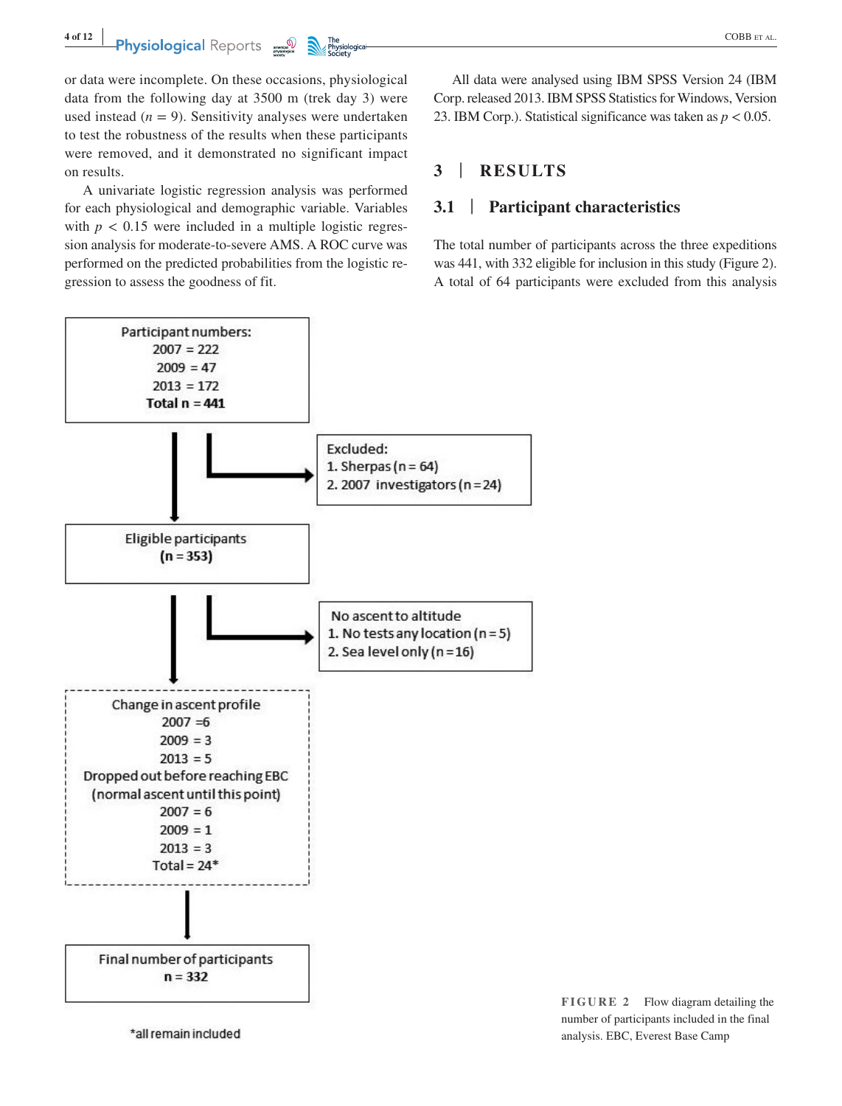or data were incomplete. On these occasions, physiological data from the following day at 3500 m (trek day 3) were used instead  $(n = 9)$ . Sensitivity analyses were undertaken to test the robustness of the results when these participants were removed, and it demonstrated no significant impact on results.

A univariate logistic regression analysis was performed for each physiological and demographic variable. Variables with  $p < 0.15$  were included in a multiple logistic regression analysis for moderate-to-severe AMS. A ROC curve was performed on the predicted probabilities from the logistic regression to assess the goodness of fit.

All data were analysed using IBM SPSS Version 24 (IBM Corp. released 2013. IBM SPSS Statistics for Windows, Version 23. IBM Corp.). Statistical significance was taken as *p* < 0.05.

# **3** | **RESULTS**

### **3.1** | **Participant characteristics**

The total number of participants across the three expeditions was 441, with 332 eligible for inclusion in this study (Figure 2). A total of 64 participants were excluded from this analysis

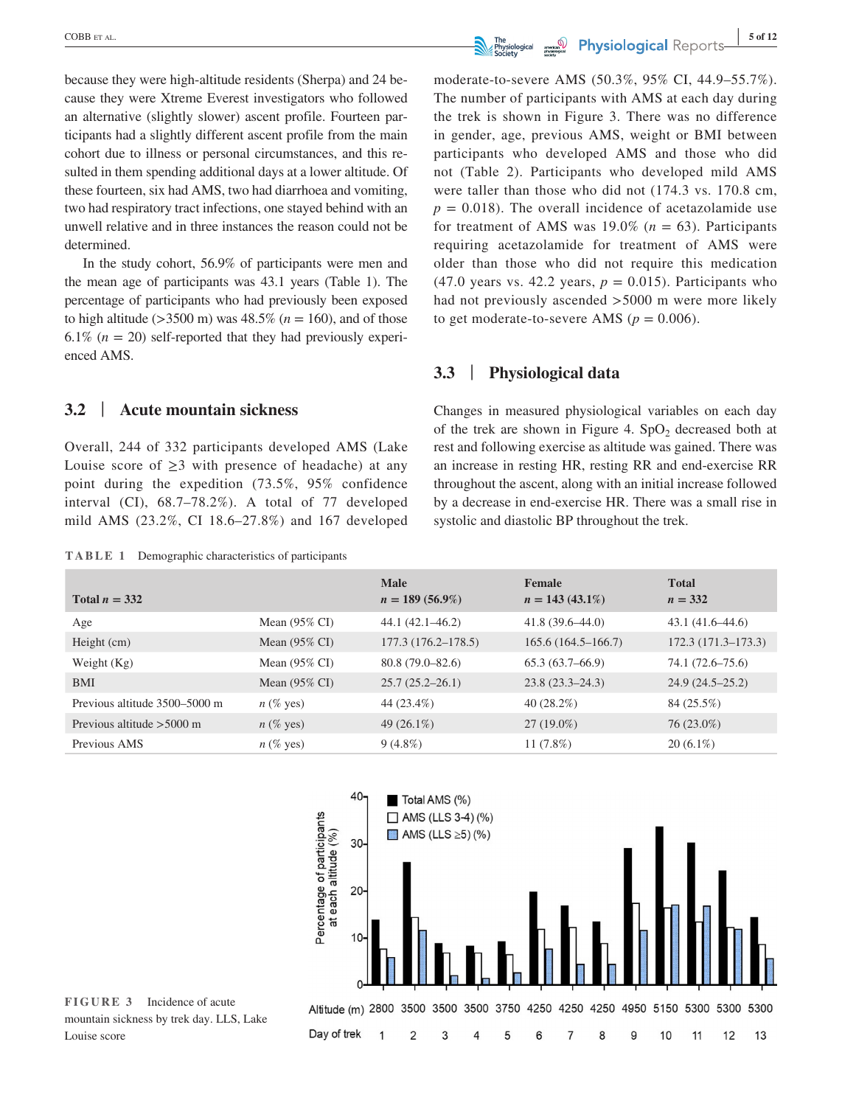because they were high-altitude residents (Sherpa) and 24 because they were Xtreme Everest investigators who followed an alternative (slightly slower) ascent profile. Fourteen participants had a slightly different ascent profile from the main cohort due to illness or personal circumstances, and this resulted in them spending additional days at a lower altitude. Of these fourteen, six had AMS, two had diarrhoea and vomiting, two had respiratory tract infections, one stayed behind with an unwell relative and in three instances the reason could not be determined.

In the study cohort, 56.9% of participants were men and the mean age of participants was 43.1 years (Table 1). The percentage of participants who had previously been exposed to high altitude ( $>3500$  m) was  $48.5\%$  ( $n = 160$ ), and of those 6.1%  $(n = 20)$  self-reported that they had previously experienced AMS.

**3.2** | **Acute mountain sickness**

Overall, 244 of 332 participants developed AMS (Lake Louise score of  $\geq$ 3 with presence of headache) at any point during the expedition (73.5%, 95% confidence interval (CI), 68.7–78.2%). A total of 77 developed mild AMS (23.2%, CI 18.6–27.8%) and 167 developed

**TABLE 1** Demographic characteristics of participants

moderate-to-severe AMS (50.3%, 95% CI, 44.9–55.7%). The number of participants with AMS at each day during the trek is shown in Figure 3. There was no difference in gender, age, previous AMS, weight or BMI between participants who developed AMS and those who did not (Table 2). Participants who developed mild AMS were taller than those who did not (174.3 vs. 170.8 cm,  $p = 0.018$ . The overall incidence of acetazolamide use for treatment of AMS was  $19.0\%$  ( $n = 63$ ). Participants requiring acetazolamide for treatment of AMS were older than those who did not require this medication (47.0 years vs. 42.2 years,  $p = 0.015$ ). Participants who had not previously ascended >5000 m were more likely to get moderate-to-severe AMS ( $p = 0.006$ ).

# **3.3** | **Physiological data**

Changes in measured physiological variables on each day of the trek are shown in Figure 4.  $SpO<sub>2</sub>$  decreased both at rest and following exercise as altitude was gained. There was an increase in resting HR, resting RR and end-exercise RR throughout the ascent, along with an initial increase followed by a decrease in end-exercise HR. There was a small rise in systolic and diastolic BP throughout the trek.

|                               |                          | <b>Male</b>            | Female                 | <b>Total</b>           |
|-------------------------------|--------------------------|------------------------|------------------------|------------------------|
| Total $n = 332$               |                          | $n = 189(56.9\%)$      | $n = 143(43.1\%)$      | $n = 332$              |
| Age                           | Mean $(95\% \text{ CI})$ | $44.1(42.1 - 46.2)$    | $41.8(39.6 - 44.0)$    | $43.1(41.6-44.6)$      |
| Height $(cm)$                 | Mean $(95\% \text{ CI})$ | $177.3(176.2 - 178.5)$ | $165.6(164.5 - 166.7)$ | $172.3(171.3 - 173.3)$ |
| Weight $(Kg)$                 | Mean $(95\% \text{ CI})$ | $80.8(79.0 - 82.6)$    | $65.3(63.7 - 66.9)$    | 74.1 (72.6–75.6)       |
| <b>BMI</b>                    | Mean $(95\% \text{ CI})$ | $25.7(25.2 - 26.1)$    | $23.8(23.3 - 24.3)$    | $24.9(24.5 - 25.2)$    |
| Previous altitude 3500–5000 m | $n$ (% yes)              | 44 (23.4%)             | 40(28.2%)              | 84 (25.5%)             |
| Previous altitude $>5000$ m   | $n$ (% yes)              | 49 $(26.1\%)$          | $27(19.0\%)$           | 76 (23.0%)             |
| Previous AMS                  | $n$ (% yes)              | $9(4.8\%)$             | 11 $(7.8%)$            | $20(6.1\%)$            |



**FIGURE 3** Incidence of acute mountain sickness by trek day. LLS, Lake Louise score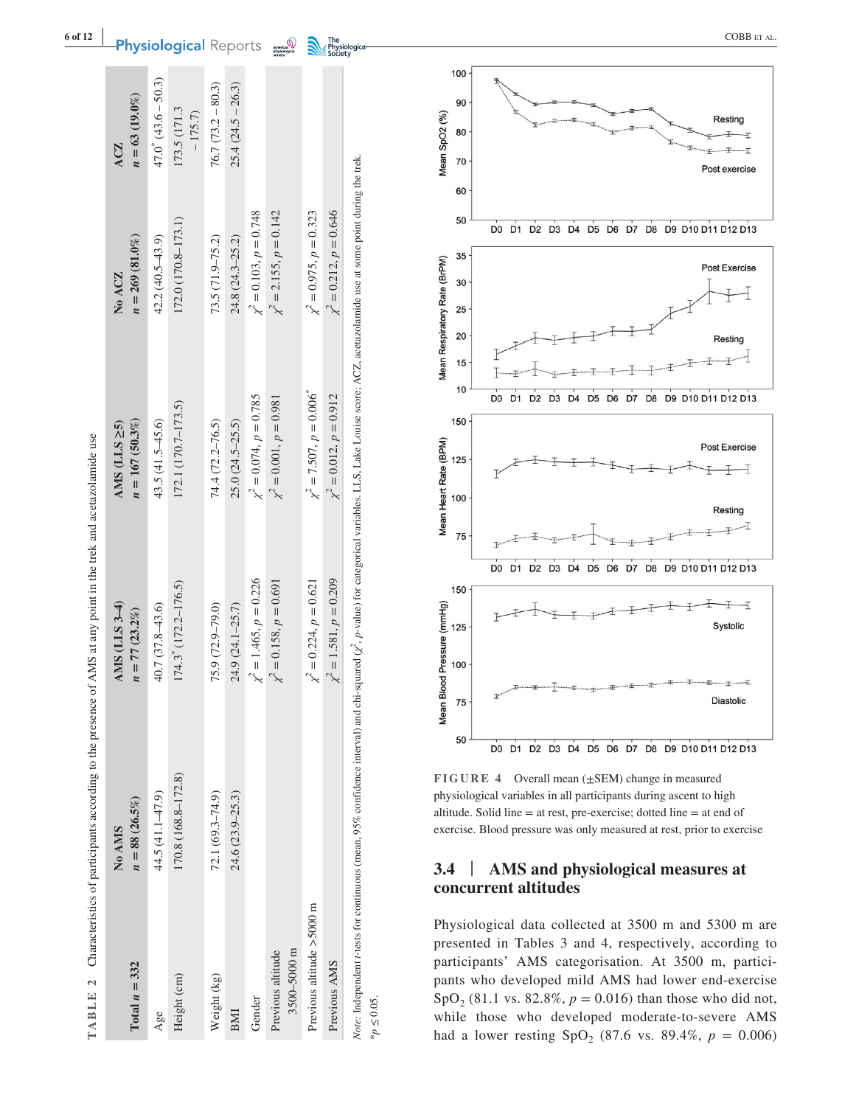|                                  | TABLE 2 Characteristics of participants according to the presence of AMS at any point in the trek and acetazolamide use                                                                                                   |                                   |                                         |                                |                                |
|----------------------------------|---------------------------------------------------------------------------------------------------------------------------------------------------------------------------------------------------------------------------|-----------------------------------|-----------------------------------------|--------------------------------|--------------------------------|
| Total $n = 332$                  | $n = 88(26.5\%)$<br>No AMS                                                                                                                                                                                                | AMS (LLS 3-4)<br>$n = 77(23.2\%)$ | $n = 167(50.3\%)$<br>AMS $(LLS \geq 5)$ | $n = 269(81.0\%)$<br>No ACZ    | $n = 63(19.0\%)$<br><b>ACZ</b> |
| Age                              | 44.5 (41.1-47.9)                                                                                                                                                                                                          | $40.7(37.8 - 43.6)$               | $43.5(41.5 - 45.6)$                     | $42.2(40.5 - 43.9)$            | $47.0^*$ $(43.6 - 50.3)$       |
| Height (cm)                      | 170.8 (168.8-172.8)                                                                                                                                                                                                       | 174.3 (172.2-176.5)               | 172.1 (170.7-173.5)                     | 172.0 (170.8-173.1)            | 173.5 (171.3<br>$-175.7$       |
| Weight (kg)                      | $72.1(69.3 - 74.9)$                                                                                                                                                                                                       | 75.9 (72.9-79.0)                  | 74.4 (72.2–76.5)                        | 73.5 (71.9-75.2)               | $76.7(73.2 - 80.3)$            |
| BMI                              | 24.6 (23.9-25.3)                                                                                                                                                                                                          | 24.9 (24.1-25.7)                  | $25.0(24.5-25.5)$                       | 24.8 (24.3-25.2)               | $25.4(24.5 - 26.3)$            |
| Gender                           |                                                                                                                                                                                                                           | $\chi^2 = 1.465, p = 0.226$       | $\chi^2 = 0.074$ , $p = 0.785$          | $\chi^2 = 0.103, p = 0.748$    |                                |
| 3500-5000 m<br>Previous altitude |                                                                                                                                                                                                                           | $\chi^2 = 0.158, p = 0.691$       | $\chi^2 = 0.001, p = 0.981$             | $\chi^2 = 2.155, p = 0.142$    |                                |
| Previous altitude >5000 m        |                                                                                                                                                                                                                           | $\chi^2 = 0.224, p = 0.621$       | $\chi^2 = 7.507, p = 0.006$             | $\chi^2 = 0.975$ , $p = 0.323$ |                                |
| Previous AMS                     |                                                                                                                                                                                                                           | $\chi^2 = 1.581, p = 0.209$       | $\chi^2 = 0.012, p = 0.912$             | $\chi^2 = 0.212, p = 0.646$    |                                |
|                                  | Note: Independent r-tests for continuous (mean, 95% confidence interval) and chi-squared $(\chi^e, \rho$ -value) for categorical variables. LLS, Lake Louise score; ACZ, acetazolamide use at some point during the trek. |                                   |                                         |                                |                                |



**FIGURE 4** Overall mean (±SEM) change in measured physiological variables in all participants during ascent to high altitude. Solid line = at rest, pre-exercise; dotted line = at end of exercise. Blood pressure was only measured at rest, prior to exercise

#### **3.4** | **AMS and physiological measures at concurrent altitudes**

Physiological data collected at 3500 m and 5300 m are presented in Tables 3 and 4, respectively, according to participants' AMS categorisation. At 3500 m, partici pants who developed mild AMS had lower end-exercise SpO<sub>2</sub> (81.1 vs. 82.8%,  $p = 0.016$ ) than those who did not, while those who developed moderate-to-severe AMS had a lower resting  $SpO_2$  (87.6 vs. 89.4%,  $p = 0.006$ )

 $*_p$   $\leq$  0.05.

**|**

**Physiological** Reports **FORE**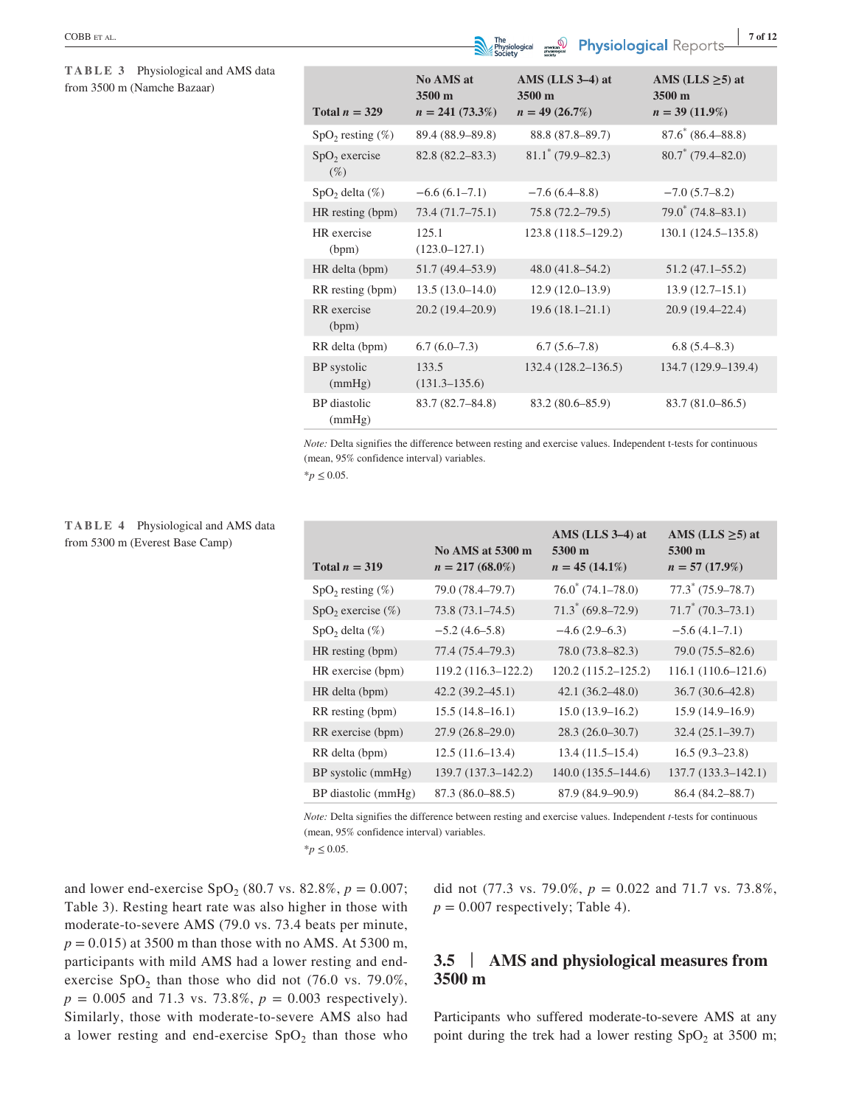#### **TABLE 3** Physiological and AMS data from 3500 m (Namche Bazaar)

| Total $n = 329$               | No AMS at<br>3500 m<br>$n = 241 (73.3\%)$ | AMS $(LLS 3-4)$ at<br>$3500 \text{ m}$<br>$n = 49(26.7\%)$ | AMS (LLS $\geq$ 5) at<br>3500 m<br>$n = 39(11.9\%)$ |
|-------------------------------|-------------------------------------------|------------------------------------------------------------|-----------------------------------------------------|
| $SpO2$ resting $(\%)$         | 89.4 (88.9–89.8)                          | 88.8 (87.8–89.7)                                           | $87.6^*$ (86.4–88.8)                                |
| $SpO2$ exercise<br>$(\%)$     | $82.8(82.2 - 83.3)$                       | $81.1$ * (79.9–82.3)                                       | $80.7^*$ (79.4–82.0)                                |
| $SpO2$ delta $(\%)$           | $-6.6(6.1-7.1)$                           | $-7.6(6.4–8.8)$                                            | $-7.0$ (5.7–8.2)                                    |
| HR resting (bpm)              | 73.4(71.7–75.1)                           | $75.8(72.2 - 79.5)$                                        | $79.0^*$ (74.8-83.1)                                |
| HR exercise<br>(bpm)          | 125.1<br>$(123.0 - 127.1)$                | 123.8 (118.5–129.2)                                        | 130.1 (124.5–135.8)                                 |
| HR delta (bpm)                | 51.7 (49.4–53.9)                          | $48.0(41.8-54.2)$                                          | $51.2(47.1 - 55.2)$                                 |
| RR resting (bpm)              | $13.5(13.0-14.0)$                         | $12.9(12.0-13.9)$                                          | $13.9(12.7-15.1)$                                   |
| RR exercise<br>(bpm)          | $20.2(19.4-20.9)$                         | $19.6(18.1 - 21.1)$                                        | $20.9(19.4 - 22.4)$                                 |
| RR delta (bpm)                | $6.7(6.0-7.3)$                            | $6.7(5.6-7.8)$                                             | 6.8(5.4–8.3)                                        |
| BP systolic<br>(mmHg)         | 133.5<br>$(131.3 - 135.6)$                | $132.4(128.2 - 136.5)$                                     | 134.7 (129.9–139.4)                                 |
| <b>BP</b> diastolic<br>(mmHg) | $83.7(82.7 - 84.8)$                       | $83.2(80.6 - 85.9)$                                        | $83.7(81.0 - 86.5)$                                 |

*Note:* Delta signifies the difference between resting and exercise values. Independent t-tests for continuous (mean, 95% confidence interval) variables.

 $*_{p} \leq 0.05$ .

#### **TABLE 4** Physiological and AMS data from 5300 m (Everest Base Camp)

| Total $n = 319$        | No AMS at 5300 m<br>$n = 217(68.0\%)$ | AMS $(LLS 3-4)$ at<br>5300 m<br>$n = 45(14.1\%)$ | AMS (LLS $\geq$ 5) at<br>5300 m<br>$n = 57(17.9\%)$ |
|------------------------|---------------------------------------|--------------------------------------------------|-----------------------------------------------------|
| $SpO2$ resting $(\%)$  | 79.0 (78.4–79.7)                      | $76.0^{\circ}$ (74.1–78.0)                       | $77.3^*$ (75.9–78.7)                                |
| $SpO2$ exercise $(\%)$ | $73.8(73.1 - 74.5)$                   | $71.3^*$ (69.8–72.9)                             | $71.7^*$ (70.3–73.1)                                |
| $SpO2$ delta $(\%)$    | $-5.2(4.6-5.8)$                       | $-4.6(2.9-6.3)$                                  | $-5.6(4.1-7.1)$                                     |
| HR resting (bpm)       | 77.4 (75.4–79.3)                      | 78.0 (73.8–82.3)                                 | $79.0(75.5 - 82.6)$                                 |
| HR exercise (bpm)      | 119.2 (116.3–122.2)                   | $120.2(115.2 - 125.2)$                           | $116.1(110.6-121.6)$                                |
| HR delta (bpm)         | $42.2(39.2 - 45.1)$                   | $42.1(36.2 - 48.0)$                              | $36.7(30.6 - 42.8)$                                 |
| RR resting (bpm)       | $15.5(14.8-16.1)$                     | $15.0(13.9-16.2)$                                | $15.9(14.9-16.9)$                                   |
| RR exercise (bpm)      | $27.9(26.8-29.0)$                     | $28.3(26.0-30.7)$                                | $32.4(25.1 - 39.7)$                                 |
| RR delta (bpm)         | $12.5(11.6-13.4)$                     | $13.4(11.5-15.4)$                                | $16.5(9.3-23.8)$                                    |
| BP systolic (mmHg)     | 139.7 (137.3-142.2)                   | $140.0(135.5 - 144.6)$                           | 137.7 (133.3–142.1)                                 |
| BP diastolic (mmHg)    | $87.3(86.0 - 88.5)$                   | 87.9 (84.9–90.9)                                 | $86.4(84.2 - 88.7)$                                 |

*Note:* Delta signifies the difference between resting and exercise values. Independent *t*-tests for continuous (mean, 95% confidence interval) variables.

 $*$ *p*  $\leq$  0.05.

and lower end-exercise  $SpO<sub>2</sub>$  (80.7 vs. 82.8%,  $p = 0.007$ ; Table 3). Resting heart rate was also higher in those with moderate-to-severe AMS (79.0 vs. 73.4 beats per minute,  $p = 0.015$ ) at 3500 m than those with no AMS. At 5300 m, participants with mild AMS had a lower resting and endexercise  $SpO<sub>2</sub>$  than those who did not (76.0 vs. 79.0%,  $p = 0.005$  and 71.3 vs. 73.8%,  $p = 0.003$  respectively). Similarly, those with moderate-to-severe AMS also had a lower resting and end-exercise  $SpO<sub>2</sub>$  than those who

did not (77.3 vs. 79.0%,  $p = 0.022$  and 71.7 vs. 73.8%,  $p = 0.007$  respectively; Table 4).

# **3.5** | **AMS and physiological measures from 3500 m**

Participants who suffered moderate-to-severe AMS at any point during the trek had a lower resting  $SpO<sub>2</sub>$  at 3500 m;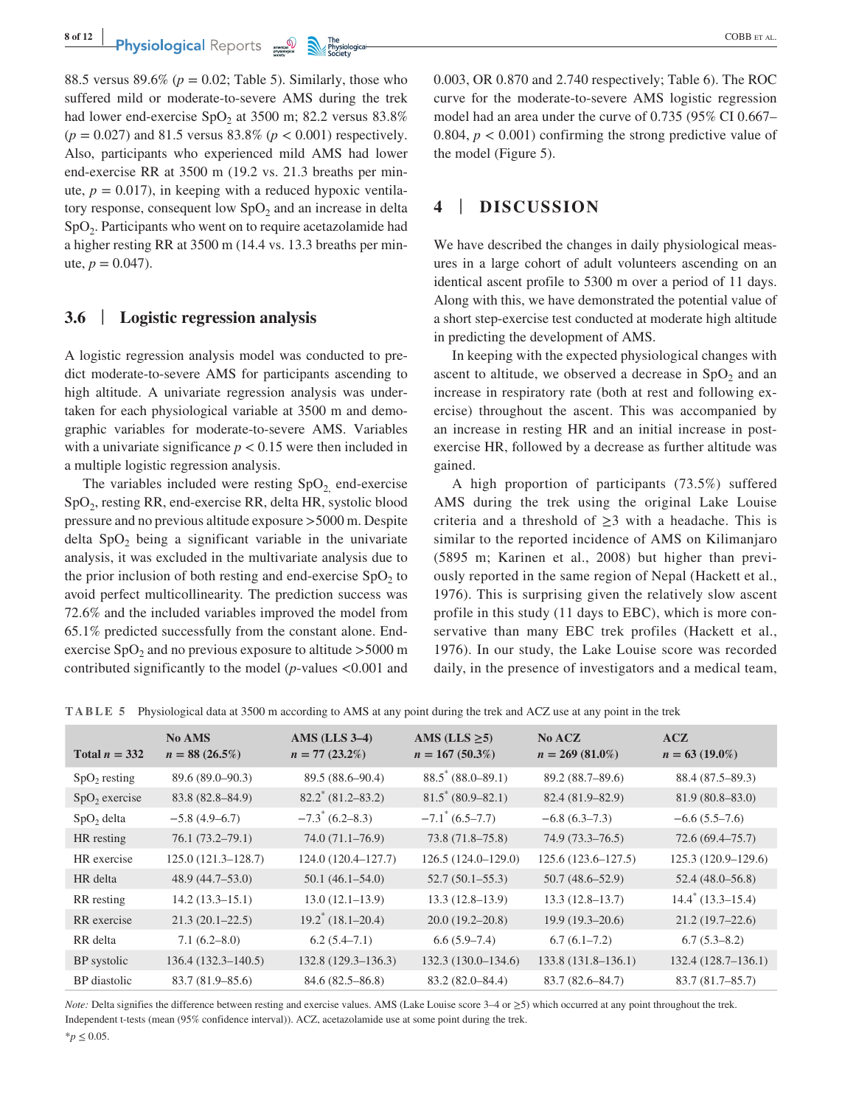88.5 versus 89.6% ( $p = 0.02$ ; Table 5). Similarly, those who suffered mild or moderate-to-severe AMS during the trek had lower end-exercise  $SpO<sub>2</sub>$  at 3500 m; 82.2 versus 83.8% (*p* = 0.027) and 81.5 versus 83.8% (*p* < 0.001) respectively. Also, participants who experienced mild AMS had lower end-exercise RR at 3500 m (19.2 vs. 21.3 breaths per minute,  $p = 0.017$ ), in keeping with a reduced hypoxic ventilatory response, consequent low  $SpO<sub>2</sub>$  and an increase in delta SpO<sub>2</sub>. Participants who went on to require acetazolamide had a higher resting RR at 3500 m (14.4 vs. 13.3 breaths per minute,  $p = 0.047$ .

# **3.6** | **Logistic regression analysis**

A logistic regression analysis model was conducted to predict moderate-to-severe AMS for participants ascending to high altitude. A univariate regression analysis was undertaken for each physiological variable at 3500 m and demographic variables for moderate-to-severe AMS. Variables with a univariate significance  $p < 0.15$  were then included in a multiple logistic regression analysis.

The variables included were resting  $SpO<sub>2</sub>$  end-exercise SpO<sub>2</sub>, resting RR, end-exercise RR, delta HR, systolic blood pressure and no previous altitude exposure >5000 m. Despite delta  $SpO<sub>2</sub>$  being a significant variable in the univariate analysis, it was excluded in the multivariate analysis due to the prior inclusion of both resting and end-exercise  $SpO<sub>2</sub>$  to avoid perfect multicollinearity. The prediction success was 72.6% and the included variables improved the model from 65.1% predicted successfully from the constant alone. Endexercise  $SpO<sub>2</sub>$  and no previous exposure to altitude >5000 m contributed significantly to the model (*p*-values <0.001 and 0.003, OR 0.870 and 2.740 respectively; Table 6). The ROC curve for the moderate-to-severe AMS logistic regression model had an area under the curve of 0.735 (95% CI 0.667– 0.804,  $p < 0.001$ ) confirming the strong predictive value of the model (Figure 5).

# **4** | **DISCUSSION**

We have described the changes in daily physiological measures in a large cohort of adult volunteers ascending on an identical ascent profile to 5300 m over a period of 11 days. Along with this, we have demonstrated the potential value of a short step-exercise test conducted at moderate high altitude in predicting the development of AMS.

In keeping with the expected physiological changes with ascent to altitude, we observed a decrease in  $SpO<sub>2</sub>$  and an increase in respiratory rate (both at rest and following exercise) throughout the ascent. This was accompanied by an increase in resting HR and an initial increase in postexercise HR, followed by a decrease as further altitude was gained.

A high proportion of participants (73.5%) suffered AMS during the trek using the original Lake Louise criteria and a threshold of  $\geq$ 3 with a headache. This is similar to the reported incidence of AMS on Kilimanjaro (5895 m; Karinen et al., 2008) but higher than previously reported in the same region of Nepal (Hackett et al., 1976). This is surprising given the relatively slow ascent profile in this study (11 days to EBC), which is more conservative than many EBC trek profiles (Hackett et al., 1976). In our study, the Lake Louise score was recorded daily, in the presence of investigators and a medical team,

|  |  |  |  | TABLE 5 Physiological data at 3500 m according to AMS at any point during the trek and ACZ use at any point in the trek |
|--|--|--|--|-------------------------------------------------------------------------------------------------------------------------|
|--|--|--|--|-------------------------------------------------------------------------------------------------------------------------|

| Total $n = 332$ | <b>No AMS</b><br>$n = 88(26.5\%)$ | <b>AMS</b> (LLS 3-4)<br>$n = 77(23.2\%)$ | AMS (LLS $\geq$ 5)<br>$n = 167(50.3\%)$ | <b>No ACZ</b><br>$n = 269 (81.0\%)$ | ACZ<br>$n = 63(19.0\%)$    |
|-----------------|-----------------------------------|------------------------------------------|-----------------------------------------|-------------------------------------|----------------------------|
| $SpO2$ resting  | 89.6 (89.0–90.3)                  | 89.5 (88.6-90.4)                         | $88.5^*$ (88.0–89.1)                    | 89.2 (88.7-89.6)                    | 88.4 (87.5–89.3)           |
| $SpO2$ exercise | 83.8 (82.8–84.9)                  | $82.2^*(81.2 - 83.2)$                    | $81.5^* (80.9 - 82.1)$                  | 82.4 (81.9-82.9)                    | $81.9(80.8 - 83.0)$        |
| $SpO2$ delta    | $-5.8(4.9-6.7)$                   | $-7.3^*$ (6.2–8.3)                       | $-7.1^*$ (6.5–7.7)                      | $-6.8(6.3-7.3)$                     | $-6.6(5.5-7.6)$            |
| HR resting      | $76.1(73.2 - 79.1)$               | $74.0(71.1-76.9)$                        | $73.8(71.8 - 75.8)$                     | $74.9(73.3 - 76.5)$                 | $72.6(69.4 - 75.7)$        |
| HR exercise     | 125.0 (121.3-128.7)               | 124.0 (120.4-127.7)                      | 126.5 (124.0-129.0)                     | 125.6 (123.6–127.5)                 | 125.3 (120.9-129.6)        |
| HR delta        | $48.9(44.7-53.0)$                 | $50.1(46.1-54.0)$                        | $52.7(50.1 - 55.3)$                     | $50.7(48.6 - 52.9)$                 | $52.4(48.0 - 56.8)$        |
| RR resting      | $14.2(13.3-15.1)$                 | $13.0(12.1-13.9)$                        | $13.3(12.8-13.9)$                       | $13.3(12.8-13.7)$                   | $14.4^{\circ}$ (13.3–15.4) |
| RR exercise     | $21.3(20.1 - 22.5)$               | $19.2^*$ (18.1–20.4)                     | $20.0(19.2 - 20.8)$                     | $19.9(19.3-20.6)$                   | $21.2(19.7-22.6)$          |
| RR delta        | $7.1(6.2 - 8.0)$                  | $6.2(5.4 - 7.1)$                         | $6.6(5.9-7.4)$                          | $6.7(6.1-7.2)$                      | $6.7(5.3 - 8.2)$           |
| BP systolic     | 136.4 (132.3-140.5)               | 132.8 (129.3-136.3)                      | 132.3 (130.0-134.6)                     | 133.8 (131.8–136.1)                 | 132.4 (128.7-136.1)        |
| BP diastolic    | $83.7(81.9 - 85.6)$               | $84.6(82.5 - 86.8)$                      | $83.2(82.0 - 84.4)$                     | 83.7 (82.6–84.7)                    | $83.7(81.7 - 85.7)$        |

*Note:* Delta signifies the difference between resting and exercise values. AMS (Lake Louise score 3–4 or  $\geq$ 5) which occurred at any point throughout the trek. Independent t-tests (mean (95% confidence interval)). ACZ, acetazolamide use at some point during the trek.  $*_{p} \leq 0.05$ .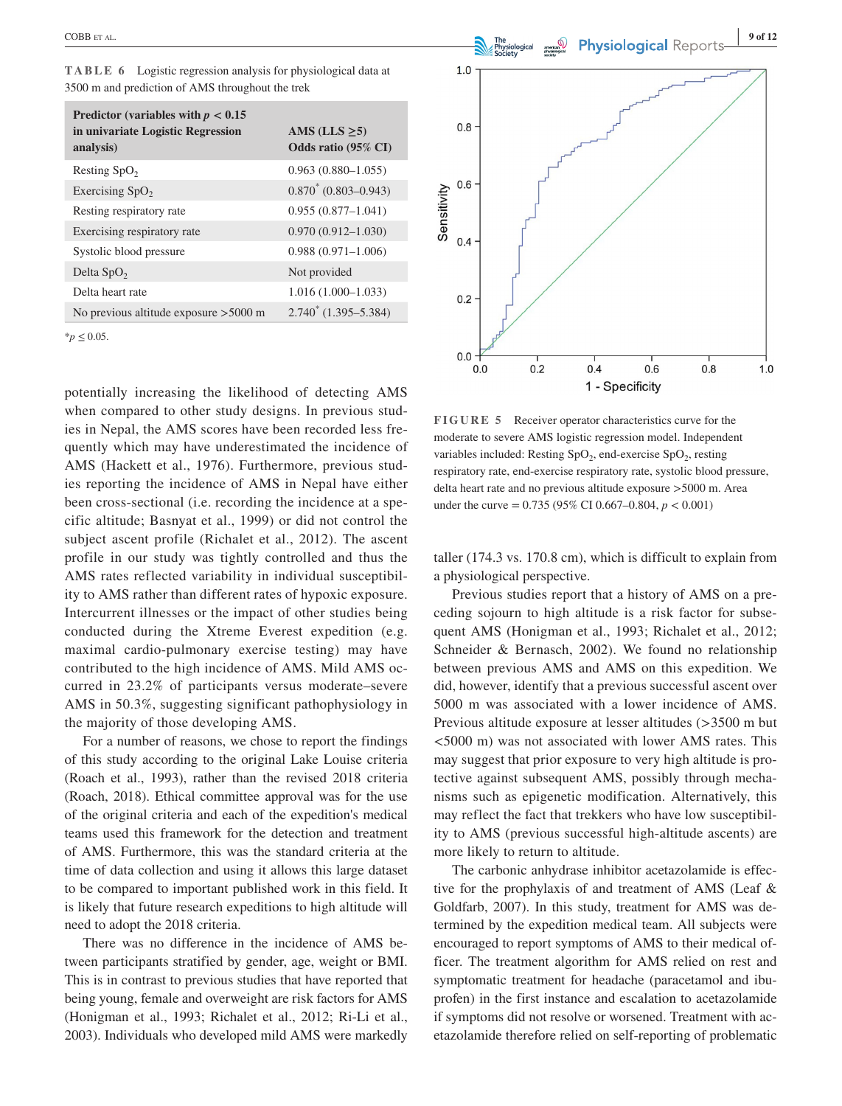**TABLE 6** Logistic regression analysis for physiological data at 3500 m and prediction of AMS throughout the trek

| Predictor (variables with $p < 0.15$ )<br>in univariate Logistic Regression<br>analysis) | AMS (LLS $\geq$ 5)<br>Odds ratio (95% CI) |
|------------------------------------------------------------------------------------------|-------------------------------------------|
| Resting SpO <sub>2</sub>                                                                 | $0.963(0.880-1.055)$                      |
| Exercising $SpO2$                                                                        | $0.870^* (0.803 - 0.943)$                 |
| Resting respiratory rate                                                                 | $0.955(0.877 - 1.041)$                    |
| Exercising respiratory rate                                                              | $0.970(0.912 - 1.030)$                    |
| Systolic blood pressure                                                                  | $0.988(0.971 - 1.006)$                    |
| Delta $SpO2$                                                                             | Not provided                              |
| Delta heart rate                                                                         | $1.016(1.000-1.033)$                      |
| No previous altitude exposure $>5000$ m                                                  | $2.740^*$ (1.395-5.384)                   |

\**p* ≤ 0.05.

potentially increasing the likelihood of detecting AMS when compared to other study designs. In previous studies in Nepal, the AMS scores have been recorded less frequently which may have underestimated the incidence of AMS (Hackett et al., 1976). Furthermore, previous studies reporting the incidence of AMS in Nepal have either been cross-sectional (i.e. recording the incidence at a specific altitude; Basnyat et al., 1999) or did not control the subject ascent profile (Richalet et al., 2012). The ascent profile in our study was tightly controlled and thus the AMS rates reflected variability in individual susceptibility to AMS rather than different rates of hypoxic exposure. Intercurrent illnesses or the impact of other studies being conducted during the Xtreme Everest expedition (e.g. maximal cardio-pulmonary exercise testing) may have contributed to the high incidence of AMS. Mild AMS occurred in 23.2% of participants versus moderate–severe AMS in 50.3%, suggesting significant pathophysiology in the majority of those developing AMS.

For a number of reasons, we chose to report the findings of this study according to the original Lake Louise criteria (Roach et al., 1993), rather than the revised 2018 criteria (Roach, 2018). Ethical committee approval was for the use of the original criteria and each of the expedition's medical teams used this framework for the detection and treatment of AMS. Furthermore, this was the standard criteria at the time of data collection and using it allows this large dataset to be compared to important published work in this field. It is likely that future research expeditions to high altitude will need to adopt the 2018 criteria.

There was no difference in the incidence of AMS between participants stratified by gender, age, weight or BMI. This is in contrast to previous studies that have reported that being young, female and overweight are risk factors for AMS (Honigman et al., 1993; Richalet et al., 2012; Ri-Li et al., 2003). Individuals who developed mild AMS were markedly



**FIGURE 5** Receiver operator characteristics curve for the moderate to severe AMS logistic regression model. Independent variables included: Resting  $SpO<sub>2</sub>$ , end-exercise  $SpO<sub>2</sub>$ , resting respiratory rate, end-exercise respiratory rate, systolic blood pressure, delta heart rate and no previous altitude exposure >5000 m. Area under the curve = 0.735 (95% CI 0.667–0.804, *p* < 0.001)

taller (174.3 vs. 170.8 cm), which is difficult to explain from a physiological perspective.

Previous studies report that a history of AMS on a preceding sojourn to high altitude is a risk factor for subsequent AMS (Honigman et al., 1993; Richalet et al., 2012; Schneider & Bernasch, 2002). We found no relationship between previous AMS and AMS on this expedition. We did, however, identify that a previous successful ascent over 5000 m was associated with a lower incidence of AMS. Previous altitude exposure at lesser altitudes (>3500 m but <5000 m) was not associated with lower AMS rates. This may suggest that prior exposure to very high altitude is protective against subsequent AMS, possibly through mechanisms such as epigenetic modification. Alternatively, this may reflect the fact that trekkers who have low susceptibility to AMS (previous successful high-altitude ascents) are more likely to return to altitude.

The carbonic anhydrase inhibitor acetazolamide is effective for the prophylaxis of and treatment of AMS (Leaf & Goldfarb, 2007). In this study, treatment for AMS was determined by the expedition medical team. All subjects were encouraged to report symptoms of AMS to their medical officer. The treatment algorithm for AMS relied on rest and symptomatic treatment for headache (paracetamol and ibuprofen) in the first instance and escalation to acetazolamide if symptoms did not resolve or worsened. Treatment with acetazolamide therefore relied on self-reporting of problematic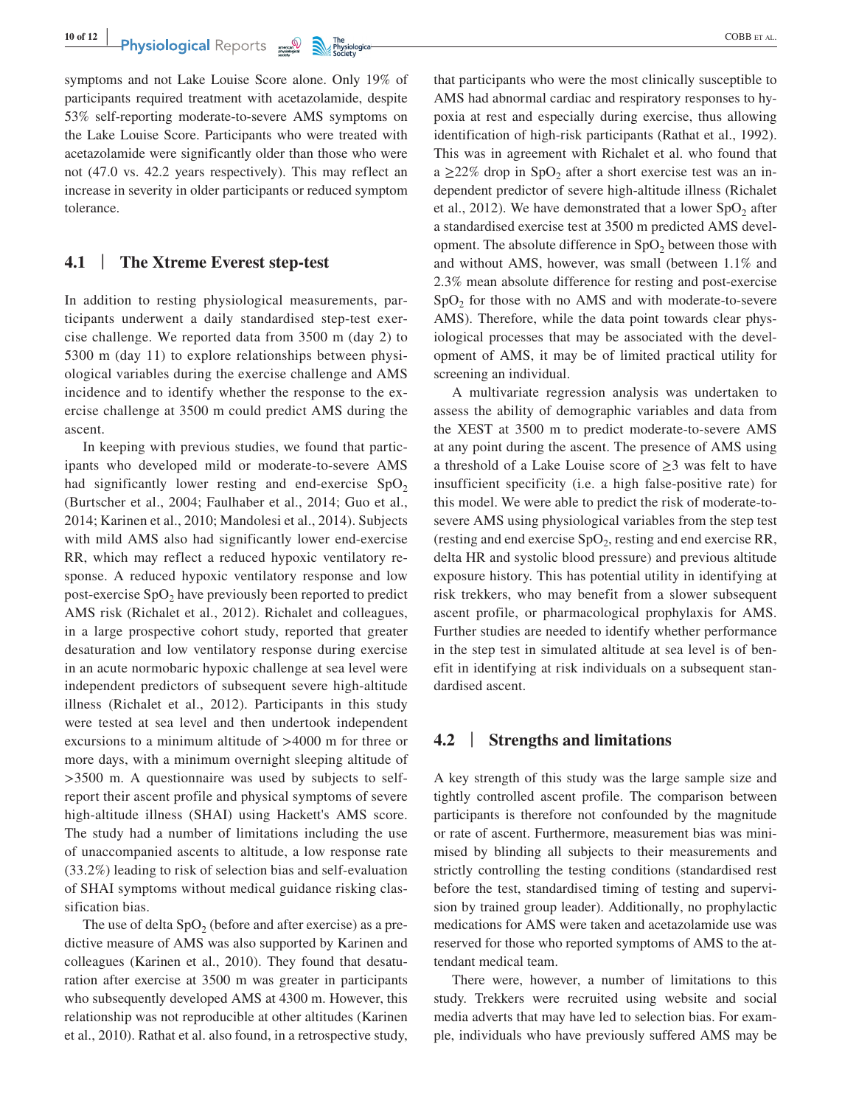**Physiological** Reports  $\frac{1}{2}$  The physiological consumption of the consumption of the consumption of the consumption of the consumption of the consumption of the consumption of the consumption of the consumption of the

symptoms and not Lake Louise Score alone. Only 19% of participants required treatment with acetazolamide, despite 53% self-reporting moderate-to-severe AMS symptoms on the Lake Louise Score. Participants who were treated with acetazolamide were significantly older than those who were not (47.0 vs. 42.2 years respectively). This may reflect an increase in severity in older participants or reduced symptom tolerance.

# **4.1** | **The Xtreme Everest step-test**

In addition to resting physiological measurements, participants underwent a daily standardised step-test exercise challenge. We reported data from 3500 m (day 2) to 5300 m (day 11) to explore relationships between physiological variables during the exercise challenge and AMS incidence and to identify whether the response to the exercise challenge at 3500 m could predict AMS during the ascent.

In keeping with previous studies, we found that participants who developed mild or moderate-to-severe AMS had significantly lower resting and end-exercise  $SpO<sub>2</sub>$ (Burtscher et al., 2004; Faulhaber et al., 2014; Guo et al., 2014; Karinen et al., 2010; Mandolesi et al., 2014). Subjects with mild AMS also had significantly lower end-exercise RR, which may reflect a reduced hypoxic ventilatory response. A reduced hypoxic ventilatory response and low post-exercise  $SpO<sub>2</sub>$  have previously been reported to predict AMS risk (Richalet et al., 2012). Richalet and colleagues, in a large prospective cohort study, reported that greater desaturation and low ventilatory response during exercise in an acute normobaric hypoxic challenge at sea level were independent predictors of subsequent severe high-altitude illness (Richalet et al., 2012). Participants in this study were tested at sea level and then undertook independent excursions to a minimum altitude of >4000 m for three or more days, with a minimum overnight sleeping altitude of >3500 m. A questionnaire was used by subjects to selfreport their ascent profile and physical symptoms of severe high-altitude illness (SHAI) using Hackett's AMS score. The study had a number of limitations including the use of unaccompanied ascents to altitude, a low response rate (33.2%) leading to risk of selection bias and self-evaluation of SHAI symptoms without medical guidance risking classification bias.

The use of delta  $SpO<sub>2</sub>$  (before and after exercise) as a predictive measure of AMS was also supported by Karinen and colleagues (Karinen et al., 2010). They found that desaturation after exercise at 3500 m was greater in participants who subsequently developed AMS at 4300 m. However, this relationship was not reproducible at other altitudes (Karinen et al., 2010). Rathat et al. also found, in a retrospective study,

that participants who were the most clinically susceptible to AMS had abnormal cardiac and respiratory responses to hypoxia at rest and especially during exercise, thus allowing identification of high-risk participants (Rathat et al., 1992). This was in agreement with Richalet et al. who found that a  $\geq$ 22% drop in SpO<sub>2</sub> after a short exercise test was an independent predictor of severe high-altitude illness (Richalet et al., 2012). We have demonstrated that a lower  $SpO<sub>2</sub>$  after a standardised exercise test at 3500 m predicted AMS development. The absolute difference in  $SpO<sub>2</sub>$  between those with and without AMS, however, was small (between 1.1% and 2.3% mean absolute difference for resting and post-exercise  $SpO<sub>2</sub>$  for those with no AMS and with moderate-to-severe AMS). Therefore, while the data point towards clear physiological processes that may be associated with the development of AMS, it may be of limited practical utility for screening an individual.

A multivariate regression analysis was undertaken to assess the ability of demographic variables and data from the XEST at 3500 m to predict moderate-to-severe AMS at any point during the ascent. The presence of AMS using a threshold of a Lake Louise score of  $\geq$ 3 was felt to have insufficient specificity (i.e. a high false-positive rate) for this model. We were able to predict the risk of moderate-tosevere AMS using physiological variables from the step test (resting and end exercise  $SpO<sub>2</sub>$ , resting and end exercise RR, delta HR and systolic blood pressure) and previous altitude exposure history. This has potential utility in identifying at risk trekkers, who may benefit from a slower subsequent ascent profile, or pharmacological prophylaxis for AMS. Further studies are needed to identify whether performance in the step test in simulated altitude at sea level is of benefit in identifying at risk individuals on a subsequent standardised ascent.

# **4.2** | **Strengths and limitations**

A key strength of this study was the large sample size and tightly controlled ascent profile. The comparison between participants is therefore not confounded by the magnitude or rate of ascent. Furthermore, measurement bias was minimised by blinding all subjects to their measurements and strictly controlling the testing conditions (standardised rest before the test, standardised timing of testing and supervision by trained group leader). Additionally, no prophylactic medications for AMS were taken and acetazolamide use was reserved for those who reported symptoms of AMS to the attendant medical team.

There were, however, a number of limitations to this study. Trekkers were recruited using website and social media adverts that may have led to selection bias. For example, individuals who have previously suffered AMS may be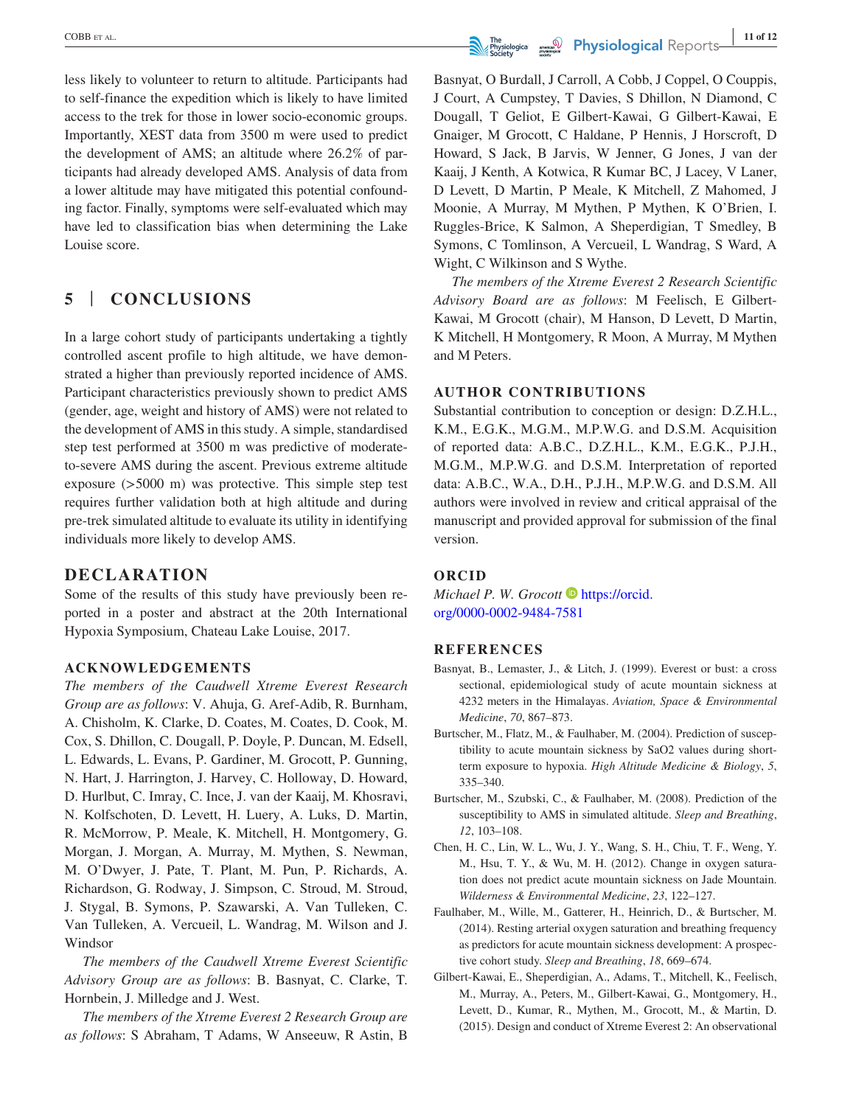less likely to volunteer to return to altitude. Participants had to self-finance the expedition which is likely to have limited access to the trek for those in lower socio-economic groups. Importantly, XEST data from 3500 m were used to predict the development of AMS; an altitude where 26.2% of participants had already developed AMS. Analysis of data from a lower altitude may have mitigated this potential confounding factor. Finally, symptoms were self-evaluated which may have led to classification bias when determining the Lake Louise score.

# **5** | **CONCLUSIONS**

In a large cohort study of participants undertaking a tightly controlled ascent profile to high altitude, we have demonstrated a higher than previously reported incidence of AMS. Participant characteristics previously shown to predict AMS (gender, age, weight and history of AMS) were not related to the development of AMS in this study. A simple, standardised step test performed at 3500 m was predictive of moderateto-severe AMS during the ascent. Previous extreme altitude exposure (>5000 m) was protective. This simple step test requires further validation both at high altitude and during pre-trek simulated altitude to evaluate its utility in identifying individuals more likely to develop AMS.

# **DECLARATION**

Some of the results of this study have previously been reported in a poster and abstract at the 20th International Hypoxia Symposium, Chateau Lake Louise, 2017.

#### **ACKNOWLEDGEMENTS**

*The members of the Caudwell Xtreme Everest Research Group are as follows*: V. Ahuja, G. Aref-Adib, R. Burnham, A. Chisholm, K. Clarke, D. Coates, M. Coates, D. Cook, M. Cox, S. Dhillon, C. Dougall, P. Doyle, P. Duncan, M. Edsell, L. Edwards, L. Evans, P. Gardiner, M. Grocott, P. Gunning, N. Hart, J. Harrington, J. Harvey, C. Holloway, D. Howard, D. Hurlbut, C. Imray, C. Ince, J. van der Kaaij, M. Khosravi, N. Kolfschoten, D. Levett, H. Luery, A. Luks, D. Martin, R. McMorrow, P. Meale, K. Mitchell, H. Montgomery, G. Morgan, J. Morgan, A. Murray, M. Mythen, S. Newman, M. O'Dwyer, J. Pate, T. Plant, M. Pun, P. Richards, A. Richardson, G. Rodway, J. Simpson, C. Stroud, M. Stroud, J. Stygal, B. Symons, P. Szawarski, A. Van Tulleken, C. Van Tulleken, A. Vercueil, L. Wandrag, M. Wilson and J. Windsor

*The members of the Caudwell Xtreme Everest Scientific Advisory Group are as follows*: B. Basnyat, C. Clarke, T. Hornbein, J. Milledge and J. West.

*The members of the Xtreme Everest 2 Research Group are as follows*: S Abraham, T Adams, W Anseeuw, R Astin, B

Basnyat, O Burdall, J Carroll, A Cobb, J Coppel, O Couppis, J Court, A Cumpstey, T Davies, S Dhillon, N Diamond, C Dougall, T Geliot, E Gilbert-Kawai, G Gilbert-Kawai, E Gnaiger, M Grocott, C Haldane, P Hennis, J Horscroft, D Howard, S Jack, B Jarvis, W Jenner, G Jones, J van der Kaaij, J Kenth, A Kotwica, R Kumar BC, J Lacey, V Laner, D Levett, D Martin, P Meale, K Mitchell, Z Mahomed, J Moonie, A Murray, M Mythen, P Mythen, K O'Brien, I. Ruggles-Brice, K Salmon, A Sheperdigian, T Smedley, B Symons, C Tomlinson, A Vercueil, L Wandrag, S Ward, A Wight, C Wilkinson and S Wythe.

*The members of the Xtreme Everest 2 Research Scientific Advisory Board are as follows*: M Feelisch, E Gilbert-Kawai, M Grocott (chair), M Hanson, D Levett, D Martin, K Mitchell, H Montgomery, R Moon, A Murray, M Mythen and M Peters.

#### **AUTHOR CONTRIBUTIONS**

Substantial contribution to conception or design: D.Z.H.L., K.M., E.G.K., M.G.M., M.P.W.G. and D.S.M. Acquisition of reported data: A.B.C., D.Z.H.L., K.M., E.G.K., P.J.H., M.G.M., M.P.W.G. and D.S.M. Interpretation of reported data: A.B.C., W.A., D.H., P.J.H., M.P.W.G. and D.S.M. All authors were involved in review and critical appraisal of the manuscript and provided approval for submission of the final version.

#### **ORCID**

*Michael P. W. Grocott* **[https://orcid.](https://orcid.org/0000-0002-9484-7581)** [org/0000-0002-9484-7581](https://orcid.org/0000-0002-9484-7581)

#### **REFERENCES**

- Basnyat, B., Lemaster, J., & Litch, J. (1999). Everest or bust: a cross sectional, epidemiological study of acute mountain sickness at 4232 meters in the Himalayas. *Aviation, Space & Environmental Medicine*, *70*, 867–873.
- Burtscher, M., Flatz, M., & Faulhaber, M. (2004). Prediction of susceptibility to acute mountain sickness by SaO2 values during shortterm exposure to hypoxia. *High Altitude Medicine & Biology*, *5*, 335–340.
- Burtscher, M., Szubski, C., & Faulhaber, M. (2008). Prediction of the susceptibility to AMS in simulated altitude. *Sleep and Breathing*, *12*, 103–108.
- Chen, H. C., Lin, W. L., Wu, J. Y., Wang, S. H., Chiu, T. F., Weng, Y. M., Hsu, T. Y., & Wu, M. H. (2012). Change in oxygen saturation does not predict acute mountain sickness on Jade Mountain. *Wilderness & Environmental Medicine*, *23*, 122–127.
- Faulhaber, M., Wille, M., Gatterer, H., Heinrich, D., & Burtscher, M. (2014). Resting arterial oxygen saturation and breathing frequency as predictors for acute mountain sickness development: A prospective cohort study. *Sleep and Breathing*, *18*, 669–674.
- Gilbert-Kawai, E., Sheperdigian, A., Adams, T., Mitchell, K., Feelisch, M., Murray, A., Peters, M., Gilbert-Kawai, G., Montgomery, H., Levett, D., Kumar, R., Mythen, M., Grocott, M., & Martin, D. (2015). Design and conduct of Xtreme Everest 2: An observational